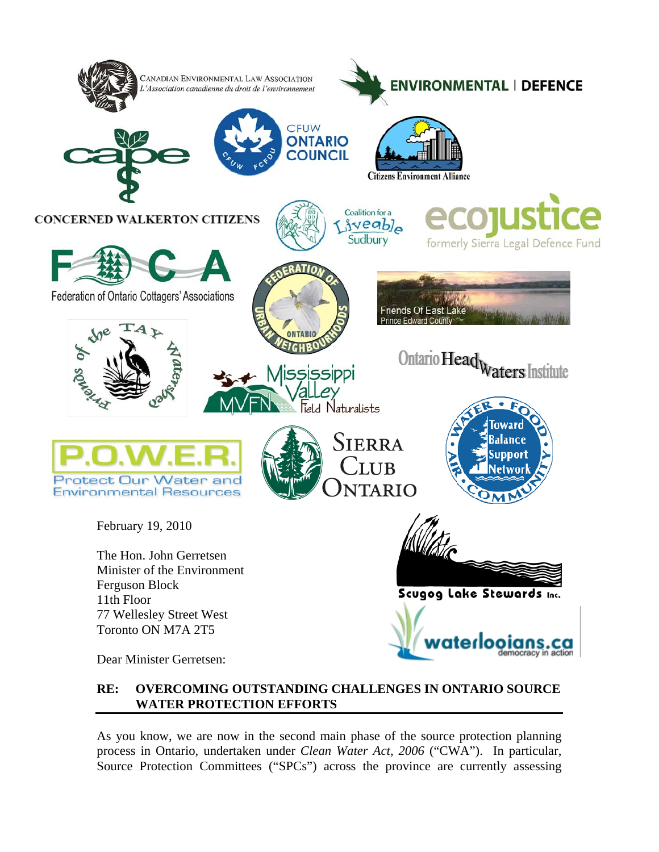

# **RE: OVERCOMING OUTSTANDING CHALLENGES IN ONTARIO SOURCE WATER PROTECTION EFFORTS**

As you know, we are now in the second main phase of the source protection planning process in Ontario, undertaken under *Clean Water Act, 2006* ("CWA"). In particular, Source Protection Committees ("SPCs") across the province are currently assessing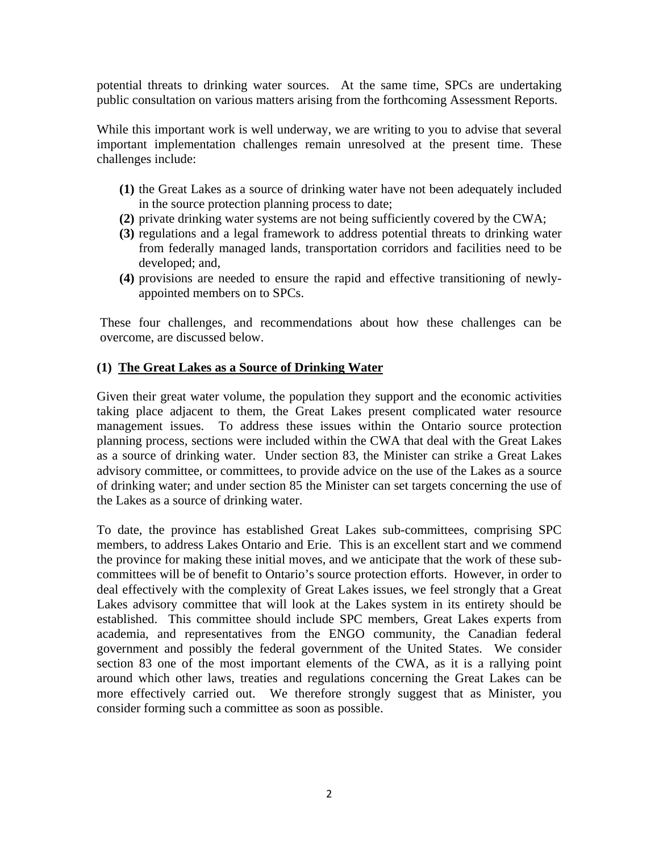potential threats to drinking water sources. At the same time, SPCs are undertaking public consultation on various matters arising from the forthcoming Assessment Reports.

While this important work is well underway, we are writing to you to advise that several important implementation challenges remain unresolved at the present time. These challenges include:

- **(1)** the Great Lakes as a source of drinking water have not been adequately included in the source protection planning process to date;
- **(2)** private drinking water systems are not being sufficiently covered by the CWA;
- **(3)** regulations and a legal framework to address potential threats to drinking water from federally managed lands, transportation corridors and facilities need to be developed; and,
- **(4)** provisions are needed to ensure the rapid and effective transitioning of newlyappointed members on to SPCs.

These four challenges, and recommendations about how these challenges can be overcome, are discussed below.

## **(1) The Great Lakes as a Source of Drinking Water**

Given their great water volume, the population they support and the economic activities taking place adjacent to them, the Great Lakes present complicated water resource management issues. To address these issues within the Ontario source protection planning process, sections were included within the CWA that deal with the Great Lakes as a source of drinking water. Under section 83, the Minister can strike a Great Lakes advisory committee, or committees, to provide advice on the use of the Lakes as a source of drinking water; and under section 85 the Minister can set targets concerning the use of the Lakes as a source of drinking water.

To date, the province has established Great Lakes sub-committees, comprising SPC members, to address Lakes Ontario and Erie. This is an excellent start and we commend the province for making these initial moves, and we anticipate that the work of these subcommittees will be of benefit to Ontario's source protection efforts. However, in order to deal effectively with the complexity of Great Lakes issues, we feel strongly that a Great Lakes advisory committee that will look at the Lakes system in its entirety should be established. This committee should include SPC members, Great Lakes experts from academia, and representatives from the ENGO community, the Canadian federal government and possibly the federal government of the United States. We consider section 83 one of the most important elements of the CWA, as it is a rallying point around which other laws, treaties and regulations concerning the Great Lakes can be more effectively carried out. We therefore strongly suggest that as Minister, you consider forming such a committee as soon as possible.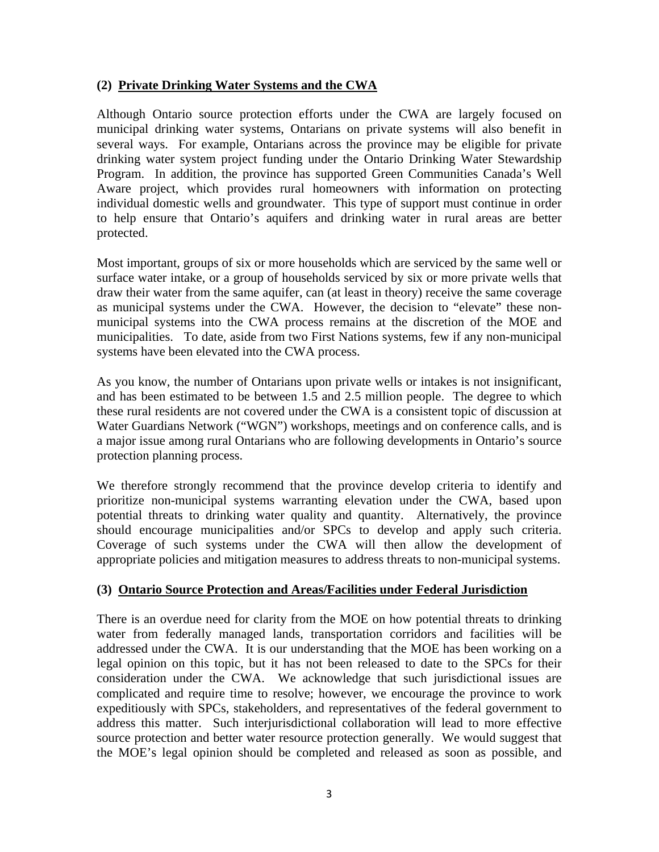### **(2) Private Drinking Water Systems and the CWA**

Although Ontario source protection efforts under the CWA are largely focused on municipal drinking water systems, Ontarians on private systems will also benefit in several ways. For example, Ontarians across the province may be eligible for private drinking water system project funding under the Ontario Drinking Water Stewardship Program. In addition, the province has supported Green Communities Canada's Well Aware project, which provides rural homeowners with information on protecting individual domestic wells and groundwater. This type of support must continue in order to help ensure that Ontario's aquifers and drinking water in rural areas are better protected.

Most important, groups of six or more households which are serviced by the same well or surface water intake, or a group of households serviced by six or more private wells that draw their water from the same aquifer, can (at least in theory) receive the same coverage as municipal systems under the CWA. However, the decision to "elevate" these nonmunicipal systems into the CWA process remains at the discretion of the MOE and municipalities. To date, aside from two First Nations systems, few if any non-municipal systems have been elevated into the CWA process.

As you know, the number of Ontarians upon private wells or intakes is not insignificant, and has been estimated to be between 1.5 and 2.5 million people. The degree to which these rural residents are not covered under the CWA is a consistent topic of discussion at Water Guardians Network ("WGN") workshops, meetings and on conference calls, and is a major issue among rural Ontarians who are following developments in Ontario's source protection planning process.

We therefore strongly recommend that the province develop criteria to identify and prioritize non-municipal systems warranting elevation under the CWA, based upon potential threats to drinking water quality and quantity. Alternatively, the province should encourage municipalities and/or SPCs to develop and apply such criteria. Coverage of such systems under the CWA will then allow the development of appropriate policies and mitigation measures to address threats to non-municipal systems.

## **(3) Ontario Source Protection and Areas/Facilities under Federal Jurisdiction**

There is an overdue need for clarity from the MOE on how potential threats to drinking water from federally managed lands, transportation corridors and facilities will be addressed under the CWA. It is our understanding that the MOE has been working on a legal opinion on this topic, but it has not been released to date to the SPCs for their consideration under the CWA. We acknowledge that such jurisdictional issues are complicated and require time to resolve; however, we encourage the province to work expeditiously with SPCs, stakeholders, and representatives of the federal government to address this matter. Such interjurisdictional collaboration will lead to more effective source protection and better water resource protection generally. We would suggest that the MOE's legal opinion should be completed and released as soon as possible, and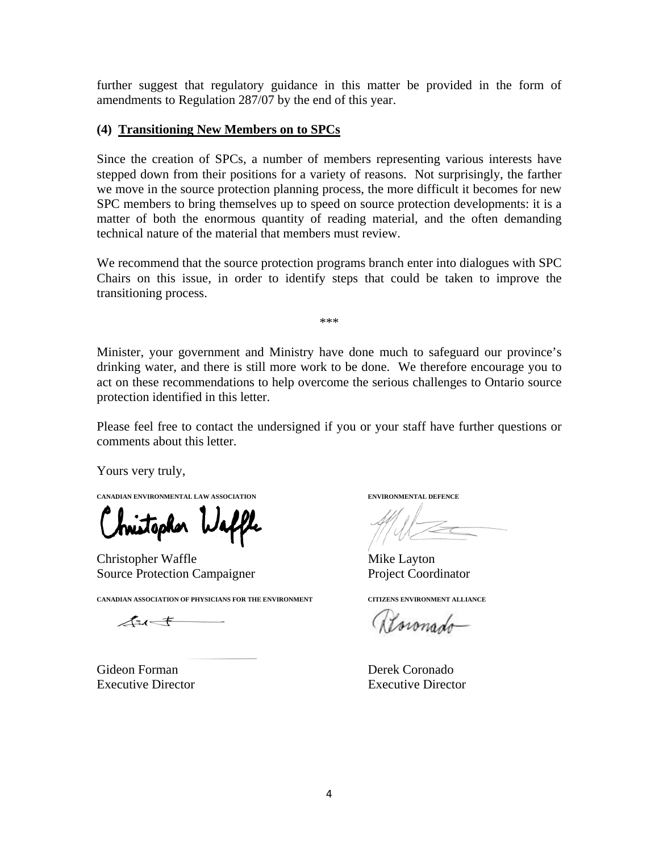further suggest that regulatory guidance in this matter be provided in the form of amendments to Regulation 287/07 by the end of this year.

#### **(4) Transitioning New Members on to SPCs**

Since the creation of SPCs, a number of members representing various interests have stepped down from their positions for a variety of reasons. Not surprisingly, the farther we move in the source protection planning process, the more difficult it becomes for new SPC members to bring themselves up to speed on source protection developments: it is a matter of both the enormous quantity of reading material, and the often demanding technical nature of the material that members must review.

We recommend that the source protection programs branch enter into dialogues with SPC Chairs on this issue, in order to identify steps that could be taken to improve the transitioning process.

\*\*\*

Minister, your government and Ministry have done much to safeguard our province's drinking water, and there is still more work to be done. We therefore encourage you to act on these recommendations to help overcome the serious challenges to Ontario source protection identified in this letter.

Please feel free to contact the undersigned if you or your staff have further questions or comments about this letter.

Yours very truly,

**CANADIAN ENVIRONMENTAL LAW ASSOCIATION ENVIRONMENTAL DEFENCE**

hristopher Waffle

Christopher Waffle Mike Layton Source Protection Campaigner Project Coordinator

**CANADIAN ASSOCIATION OF PHYSICIANS FOR THE ENVIRONMENT CITIZENS ENVIRONMENT ALLIANCE** 

 $41 +$ 

Gideon Forman **Derek Coronado** 

 $\mathcal{L}$ 

Resionado

Executive Director Executive Director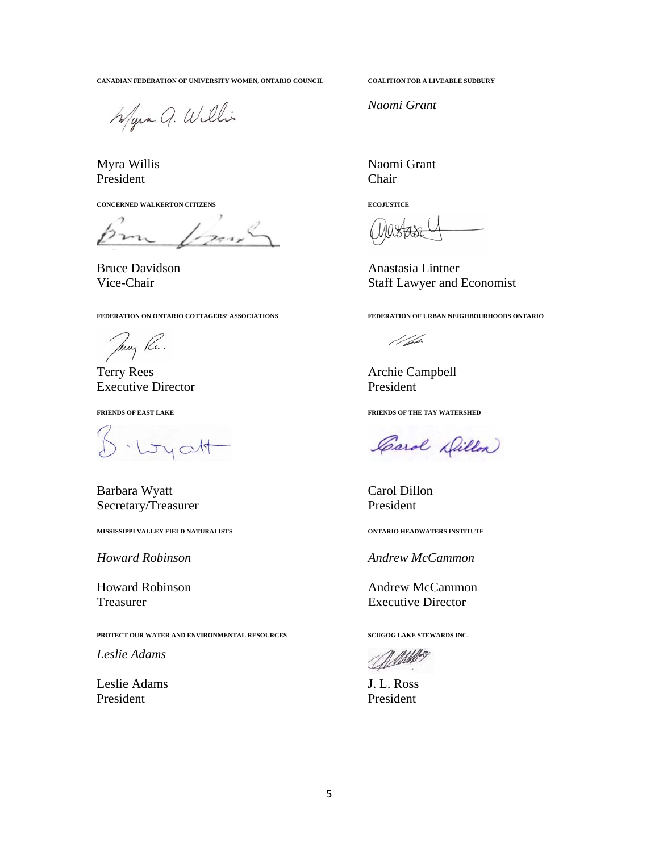**CANADIAN FEDERATION OF UNIVERSITY WOMEN, ONTARIO COUNCIL COALITION FOR A LIVEABLE SUDBURY** 

Wyna Q. Willis

President Chair

**CONCERNED WALKERTON CITIZENS ECOJUSTICE** 

 $1$ 

**FEDERATION ON ONTARIO COTTAGERS' ASSOCIATIONS FEDERATION OF URBAN NEIGHBOURHOODS ONTARIO** 

Jany Re.

Terry Rees Archie Campbell Executive Director **President** 

· Loyalt

Barbara Wyatt Carol Dillon Secretary/Treasurer President

**MISSISSIPPI VALLEY FIELD NATURALISTS ONTARIO HEADWATERS INSTITUTE** 

**PROTECT OUR WATER AND ENVIRONMENTAL RESOURCES SCUGOG LAKE STEWARDS INC.** 

*Leslie Adams* 

Leslie Adams J. L. Ross President President

*Naomi Grant*

Myra Willis Naomi Grant

Bruce Davidson Anastasia Lintner Vice-Chair Staff Lawyer and Economist

//ph

**FRIENDS OF EAST LAKE FRIENDS OF THE TAY WATERSHED** 

Carol Dillon

*Howard Robinson Andrew McCammon* 

Howard Robinson **Andrew McCammon** Treasurer Executive Director